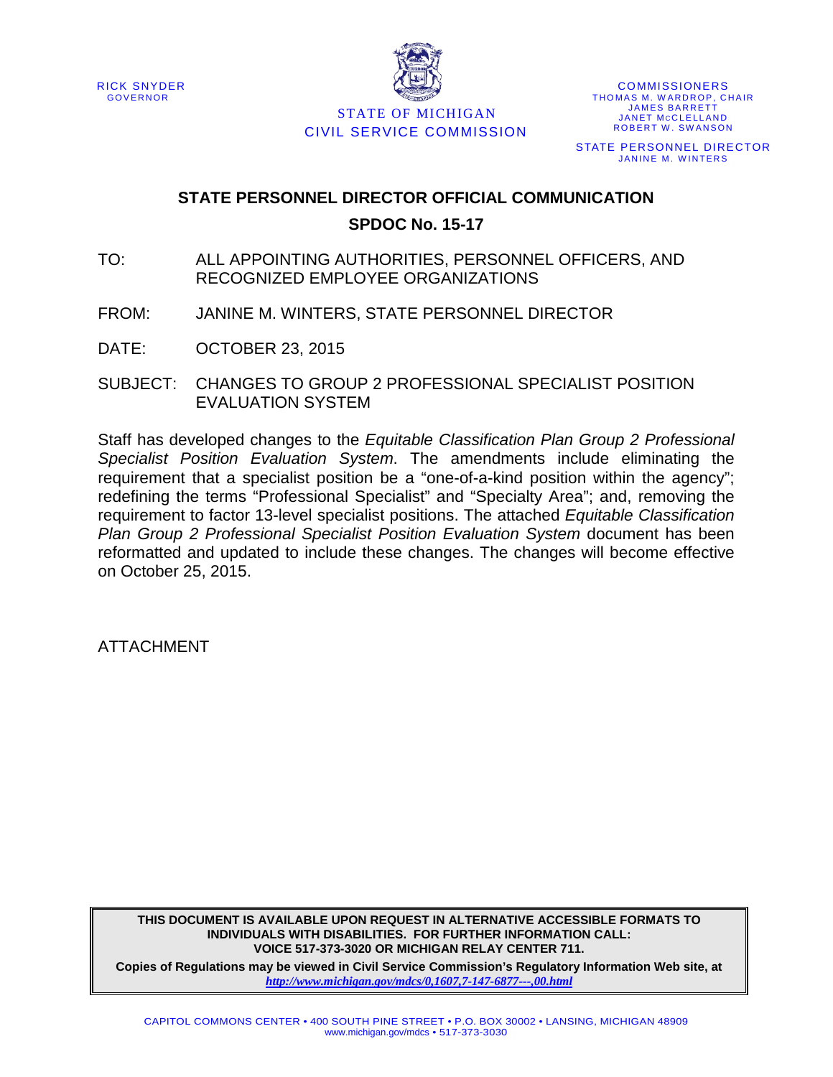



STATE OF MICHIGAN CIVIL SERVICE COMMISSION

COMMISSIONERS THOMAS M. WARDROP, CHAIR JAMES BARRETT JANET MCCLELLAND ROBERT W. SWANSON STATE PERSONNEL DIRECTOR JANINE M. WINTERS

# **STATE PERSONNEL DIRECTOR OFFICIAL COMMUNICATION SPDOC No. 15-17**

- TO: ALL APPOINTING AUTHORITIES, PERSONNEL OFFICERS, AND RECOGNIZED EMPLOYEE ORGANIZATIONS
- FROM: JANINE M. WINTERS, STATE PERSONNEL DIRECTOR

DATE: OCTOBER 23, 2015

SUBJECT: CHANGES TO GROUP 2 PROFESSIONAL SPECIALIST POSITION EVALUATION SYSTEM

Staff has developed changes to the *Equitable Classification Plan Group 2 Professional Specialist Position Evaluation System*. The amendments include eliminating the requirement that a specialist position be a "one-of-a-kind position within the agency"; redefining the terms "Professional Specialist" and "Specialty Area"; and, removing the requirement to factor 13-level specialist positions. The attached *Equitable Classification Plan Group 2 Professional Specialist Position Evaluation System* document has been reformatted and updated to include these changes. The changes will become effective on October 25, 2015.

ATTACHMENT

**THIS DOCUMENT IS AVAILABLE UPON REQUEST IN ALTERNATIVE ACCESSIBLE FORMATS TO INDIVIDUALS WITH DISABILITIES. FOR FURTHER INFORMATION CALL: VOICE 517-373-3020 OR MICHIGAN RELAY CENTER 711.**

**Copies of Regulations may be viewed in Civil Service Commission's Regulatory Information Web site, at**  *<http://www.michigan.gov/mdcs/0,1607,7-147-6877---,00.html>*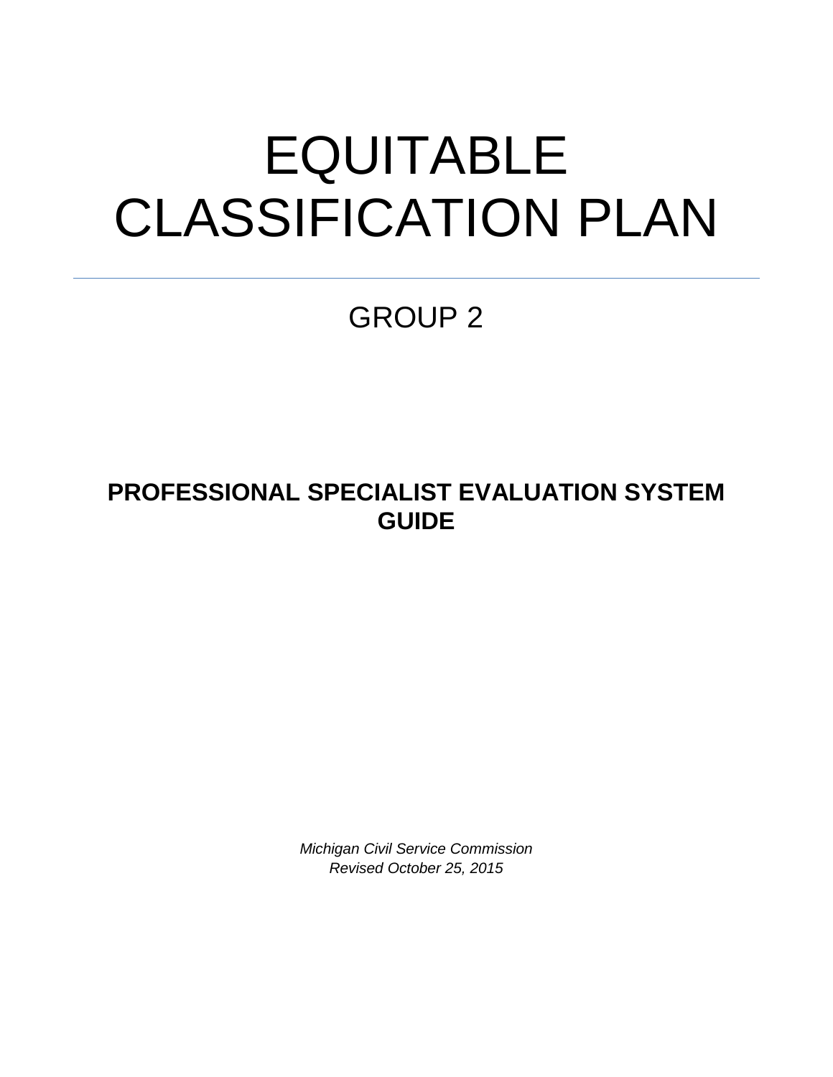# EQUITABLE CLASSIFICATION PLAN

GROUP 2

**PROFESSIONAL SPECIALIST EVALUATION SYSTEM GUIDE**

> *Michigan Civil Service Commission Revised October 25, 2015*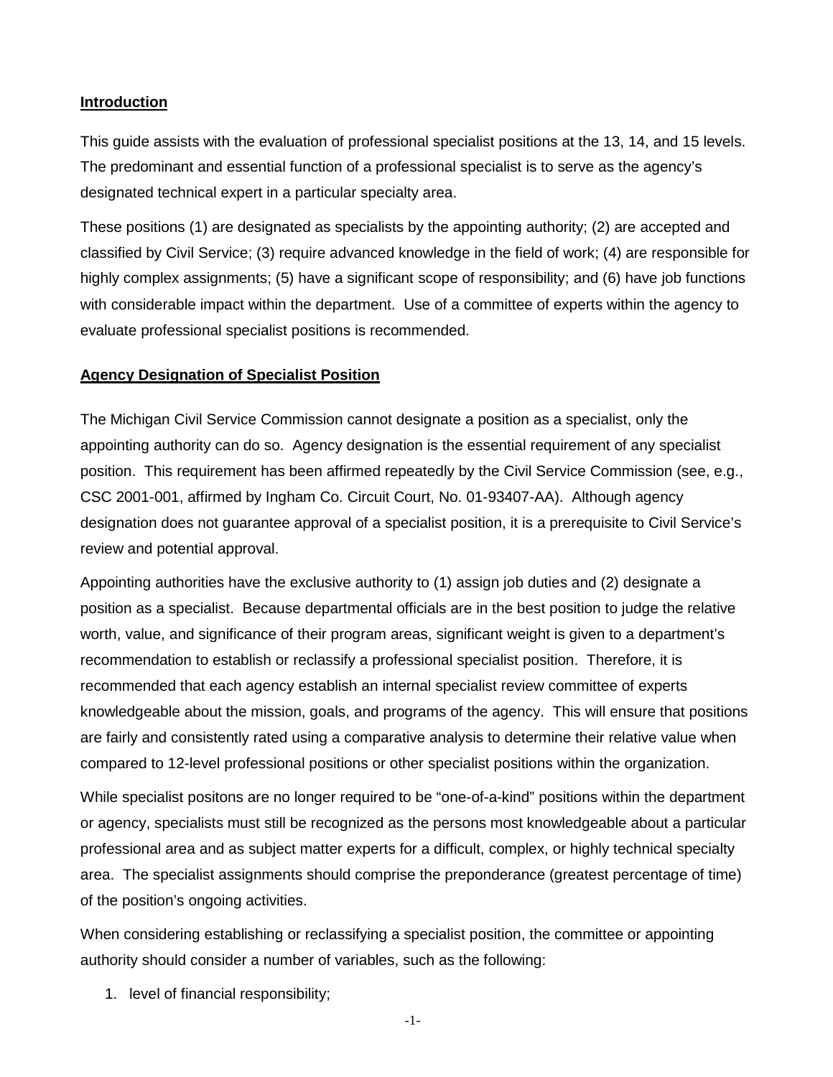#### **Introduction**

This guide assists with the evaluation of professional specialist positions at the 13, 14, and 15 levels. The predominant and essential function of a professional specialist is to serve as the agency's designated technical expert in a particular specialty area.

These positions (1) are designated as specialists by the appointing authority; (2) are accepted and classified by Civil Service; (3) require advanced knowledge in the field of work; (4) are responsible for highly complex assignments; (5) have a significant scope of responsibility; and (6) have job functions with considerable impact within the department. Use of a committee of experts within the agency to evaluate professional specialist positions is recommended.

### **Agency Designation of Specialist Position**

The Michigan Civil Service Commission cannot designate a position as a specialist, only the appointing authority can do so. Agency designation is the essential requirement of any specialist position. This requirement has been affirmed repeatedly by the Civil Service Commission (see, e.g., CSC 2001-001, affirmed by Ingham Co. Circuit Court, No. 01-93407-AA). Although agency designation does not guarantee approval of a specialist position, it is a prerequisite to Civil Service's review and potential approval.

Appointing authorities have the exclusive authority to (1) assign job duties and (2) designate a position as a specialist. Because departmental officials are in the best position to judge the relative worth, value, and significance of their program areas, significant weight is given to a department's recommendation to establish or reclassify a professional specialist position. Therefore, it is recommended that each agency establish an internal specialist review committee of experts knowledgeable about the mission, goals, and programs of the agency. This will ensure that positions are fairly and consistently rated using a comparative analysis to determine their relative value when compared to 12-level professional positions or other specialist positions within the organization.

While specialist positons are no longer required to be "one-of-a-kind" positions within the department or agency, specialists must still be recognized as the persons most knowledgeable about a particular professional area and as subject matter experts for a difficult, complex, or highly technical specialty area. The specialist assignments should comprise the preponderance (greatest percentage of time) of the position's ongoing activities.

When considering establishing or reclassifying a specialist position, the committee or appointing authority should consider a number of variables, such as the following:

1. level of financial responsibility;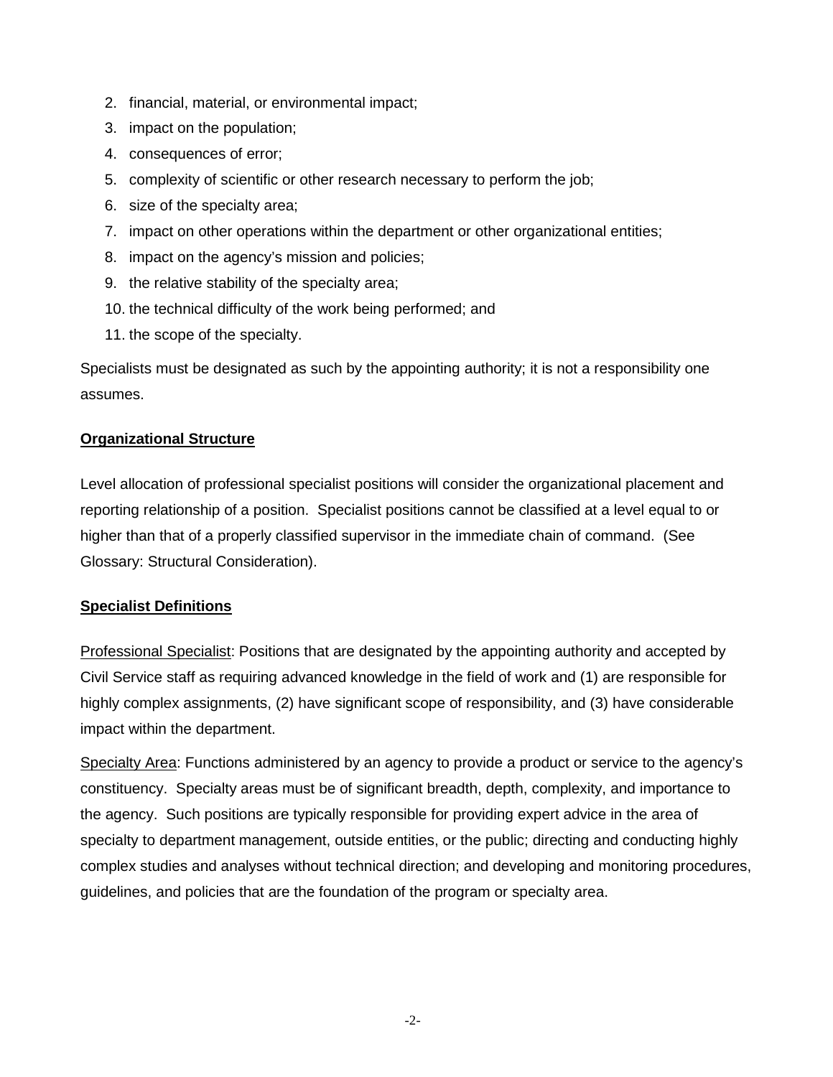- 2. financial, material, or environmental impact;
- 3. impact on the population;
- 4. consequences of error;
- 5. complexity of scientific or other research necessary to perform the job;
- 6. size of the specialty area;
- 7. impact on other operations within the department or other organizational entities;
- 8. impact on the agency's mission and policies;
- 9. the relative stability of the specialty area;
- 10. the technical difficulty of the work being performed; and
- 11. the scope of the specialty.

Specialists must be designated as such by the appointing authority; it is not a responsibility one assumes.

#### **Organizational Structure**

Level allocation of professional specialist positions will consider the organizational placement and reporting relationship of a position. Specialist positions cannot be classified at a level equal to or higher than that of a properly classified supervisor in the immediate chain of command. (See Glossary: Structural Consideration).

#### **Specialist Definitions**

Professional Specialist: Positions that are designated by the appointing authority and accepted by Civil Service staff as requiring advanced knowledge in the field of work and (1) are responsible for highly complex assignments, (2) have significant scope of responsibility, and (3) have considerable impact within the department.

Specialty Area: Functions administered by an agency to provide a product or service to the agency's constituency. Specialty areas must be of significant breadth, depth, complexity, and importance to the agency. Such positions are typically responsible for providing expert advice in the area of specialty to department management, outside entities, or the public; directing and conducting highly complex studies and analyses without technical direction; and developing and monitoring procedures, guidelines, and policies that are the foundation of the program or specialty area.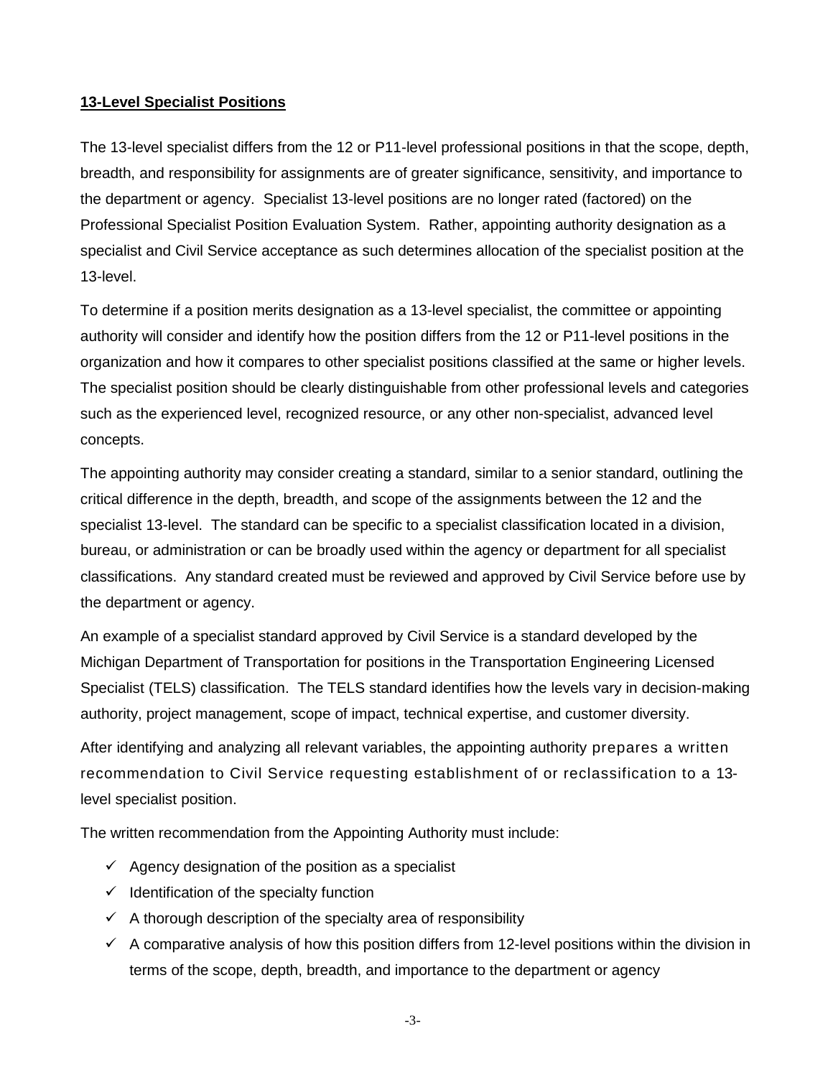#### **13-Level Specialist Positions**

The 13-level specialist differs from the 12 or P11-level professional positions in that the scope, depth, breadth, and responsibility for assignments are of greater significance, sensitivity, and importance to the department or agency. Specialist 13-level positions are no longer rated (factored) on the Professional Specialist Position Evaluation System. Rather, appointing authority designation as a specialist and Civil Service acceptance as such determines allocation of the specialist position at the 13-level.

To determine if a position merits designation as a 13-level specialist, the committee or appointing authority will consider and identify how the position differs from the 12 or P11-level positions in the organization and how it compares to other specialist positions classified at the same or higher levels. The specialist position should be clearly distinguishable from other professional levels and categories such as the experienced level, recognized resource, or any other non-specialist, advanced level concepts.

The appointing authority may consider creating a standard, similar to a senior standard, outlining the critical difference in the depth, breadth, and scope of the assignments between the 12 and the specialist 13-level. The standard can be specific to a specialist classification located in a division, bureau, or administration or can be broadly used within the agency or department for all specialist classifications. Any standard created must be reviewed and approved by Civil Service before use by the department or agency.

An example of a specialist standard approved by Civil Service is a standard developed by the Michigan Department of Transportation for positions in the Transportation Engineering Licensed Specialist (TELS) classification. The TELS standard identifies how the levels vary in decision-making authority, project management, scope of impact, technical expertise, and customer diversity.

After identifying and analyzing all relevant variables, the appointing authority prepares a written recommendation to Civil Service requesting establishment of or reclassification to a 13 level specialist position.

The written recommendation from the Appointing Authority must include:

- $\checkmark$  Agency designation of the position as a specialist
- $\checkmark$  Identification of the specialty function
- $\checkmark$  A thorough description of the specialty area of responsibility
- $\checkmark$  A comparative analysis of how this position differs from 12-level positions within the division in terms of the scope, depth, breadth, and importance to the department or agency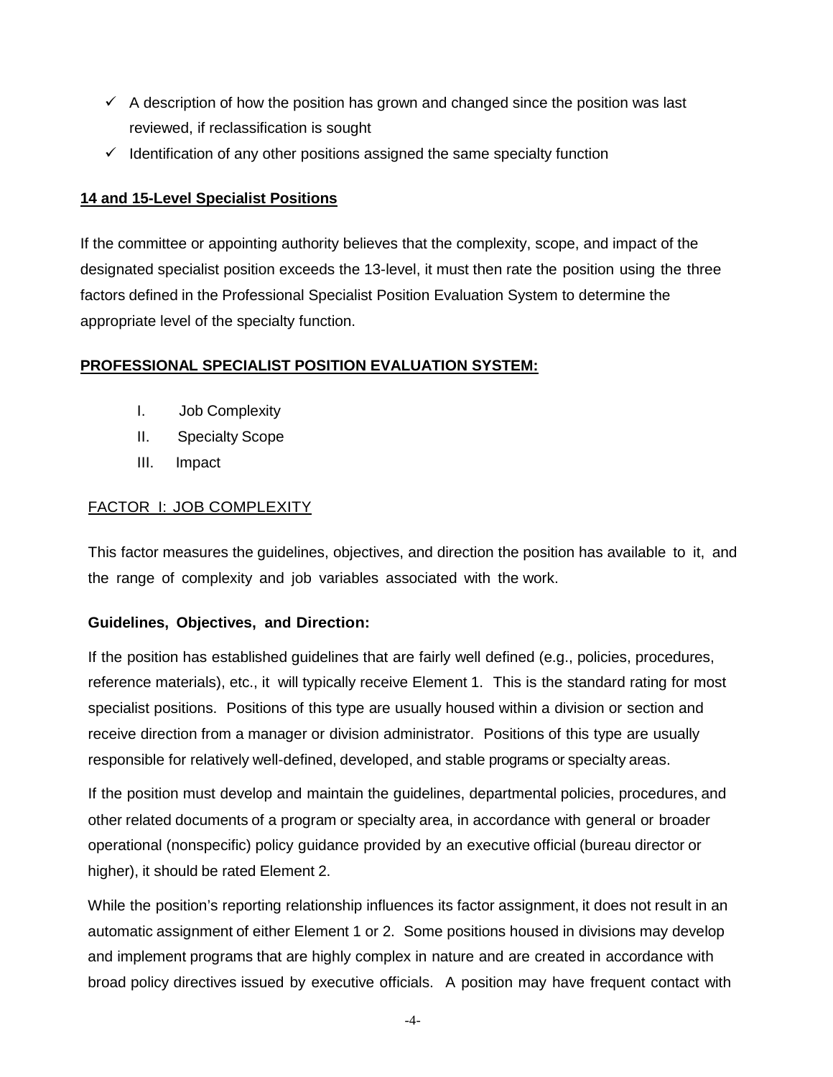- $\checkmark$  A description of how the position has grown and changed since the position was last reviewed, if reclassification is sought
- $\checkmark$  Identification of any other positions assigned the same specialty function

#### **14 and 15-Level Specialist Positions**

If the committee or appointing authority believes that the complexity, scope, and impact of the designated specialist position exceeds the 13-level, it must then rate the position using the three factors defined in the Professional Specialist Position Evaluation System to determine the appropriate level of the specialty function.

#### **PROFESSIONAL SPECIALIST POSITION EVALUATION SYSTEM:**

- I. Job Complexity
- II. Specialty Scope
- III. Impact

#### FACTOR I: JOB COMPLEXITY

This factor measures the guidelines, objectives, and direction the position has available to it, and the range of complexity and job variables associated with the work.

#### **Guidelines, Objectives, and Direction:**

If the position has established guidelines that are fairly well defined (e.g., policies, procedures, reference materials), etc., it will typically receive Element 1. This is the standard rating for most specialist positions. Positions of this type are usually housed within a division or section and receive direction from a manager or division administrator. Positions of this type are usually responsible for relatively well-defined, developed, and stable programs or specialty areas.

If the position must develop and maintain the guidelines, departmental policies, procedures, and other related documents of a program or specialty area, in accordance with general or broader operational (nonspecific) policy guidance provided by an executive official (bureau director or higher), it should be rated Element 2.

While the position's reporting relationship influences its factor assignment, it does not result in an automatic assignment of either Element 1 or 2. Some positions housed in divisions may develop and implement programs that are highly complex in nature and are created in accordance with broad policy directives issued by executive officials. A position may have frequent contact with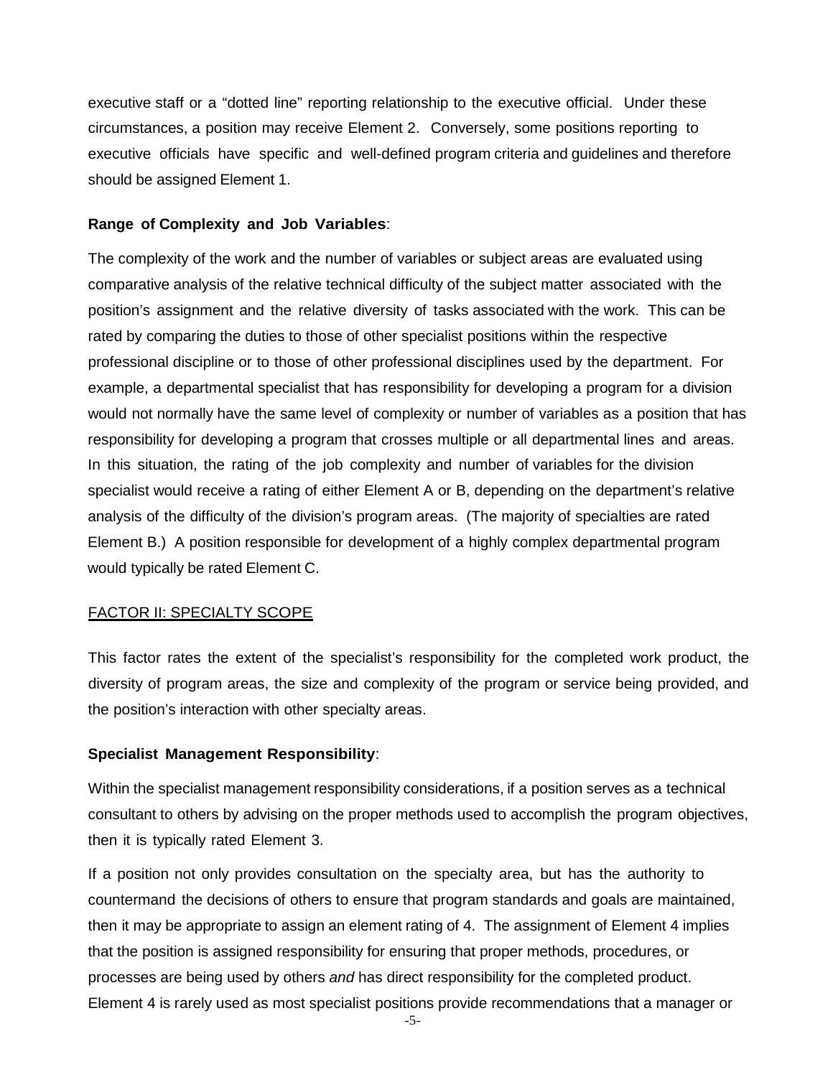executive staff or a "dotted line" reporting relationship to the executive official. Under these circumstances, a position may receive Element 2. Conversely, some positions reporting to executive officials have specific and well-defined program criteria and guidelines and therefore should be assigned Element 1.

#### **Range of Complexity and Job Variables**:

The complexity of the work and the number of variables or subject areas are evaluated using comparative analysis of the relative technical difficulty of the subject matter associated with the position's assignment and the relative diversity of tasks associated with the work. This can be rated by comparing the duties to those of other specialist positions within the respective professional discipline or to those of other professional disciplines used by the department. For example, a departmental specialist that has responsibility for developing a program for a division would not normally have the same level of complexity or number of variables as a position that has responsibility for developing a program that crosses multiple or all departmental lines and areas. In this situation, the rating of the job complexity and number of variables for the division specialist would receive a rating of either Element A or B, depending on the department's relative analysis of the difficulty of the division's program areas. (The majority of specialties are rated Element B.) A position responsible for development of a highly complex departmental program would typically be rated Element C.

#### FACTOR II: SPECIALTY SCOPE

This factor rates the extent of the specialist's responsibility for the completed work product, the diversity of program areas, the size and complexity of the program or service being provided, and the position's interaction with other specialty areas.

#### **Specialist Management Responsibility**:

Within the specialist management responsibility considerations, if a position serves as a technical consultant to others by advising on the proper methods used to accomplish the program objectives, then it is typically rated Element 3.

If a position not only provides consultation on the specialty area, but has the authority to countermand the decisions of others to ensure that program standards and goals are maintained, then it may be appropriate to assign an element rating of 4. The assignment of Element 4 implies that the position is assigned responsibility for ensuring that proper methods, procedures, or processes are being used by others *and* has direct responsibility for the completed product. Element 4 is rarely used as most specialist positions provide recommendations that a manager or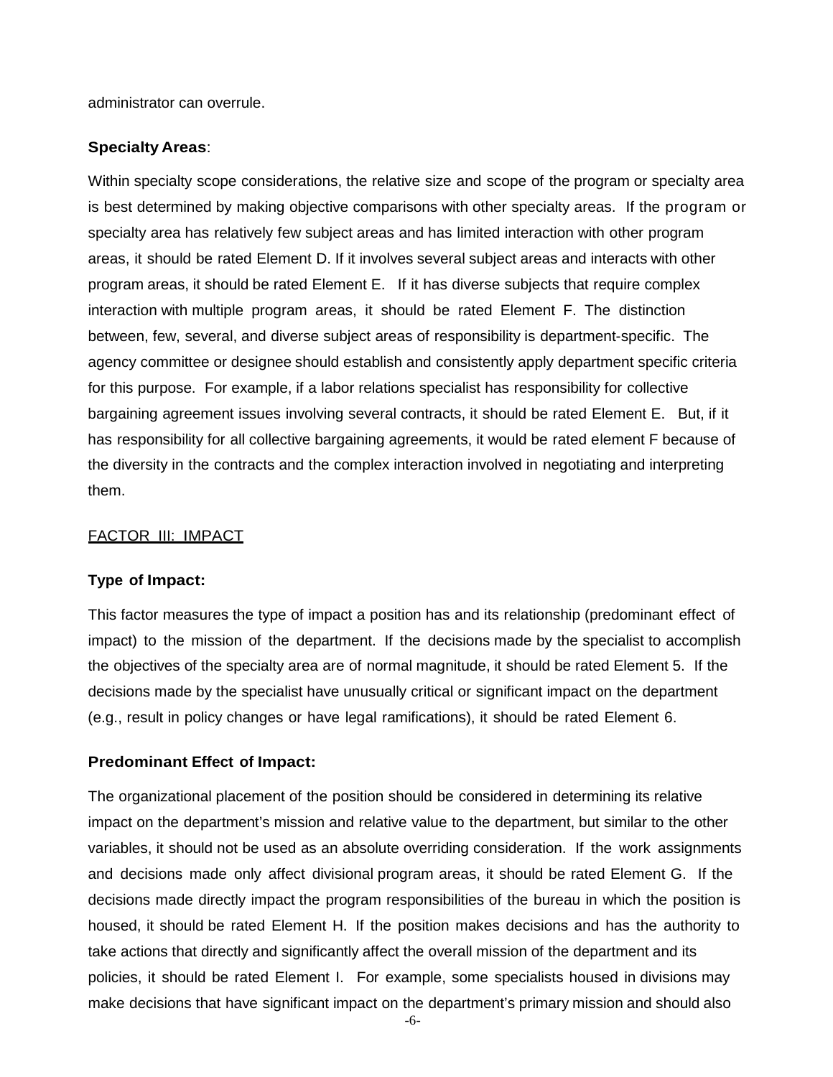administrator can overrule.

#### **Specialty Areas**:

Within specialty scope considerations, the relative size and scope of the program or specialty area is best determined by making objective comparisons with other specialty areas. If the program or specialty area has relatively few subject areas and has limited interaction with other program areas, it should be rated Element D. If it involves several subject areas and interacts with other program areas, it should be rated Element E. If it has diverse subjects that require complex interaction with multiple program areas, it should be rated Element F. The distinction between, few, several, and diverse subject areas of responsibility is department-specific. The agency committee or designee should establish and consistently apply department specific criteria for this purpose. For example, if a labor relations specialist has responsibility for collective bargaining agreement issues involving several contracts, it should be rated Element E. But, if it has responsibility for all collective bargaining agreements, it would be rated element F because of the diversity in the contracts and the complex interaction involved in negotiating and interpreting them.

#### FACTOR III: IMPACT

#### **Type of Impact:**

This factor measures the type of impact a position has and its relationship (predominant effect of impact) to the mission of the department. If the decisions made by the specialist to accomplish the objectives of the specialty area are of normal magnitude, it should be rated Element 5. If the decisions made by the specialist have unusually critical or significant impact on the department (e.g., result in policy changes or have legal ramifications), it should be rated Element 6.

#### **Predominant Effect of Impact:**

The organizational placement of the position should be considered in determining its relative impact on the department's mission and relative value to the department, but similar to the other variables, it should not be used as an absolute overriding consideration. If the work assignments and decisions made only affect divisional program areas, it should be rated Element G. If the decisions made directly impact the program responsibilities of the bureau in which the position is housed, it should be rated Element H. If the position makes decisions and has the authority to take actions that directly and significantly affect the overall mission of the department and its policies, it should be rated Element I. For example, some specialists housed in divisions may make decisions that have significant impact on the department's primary mission and should also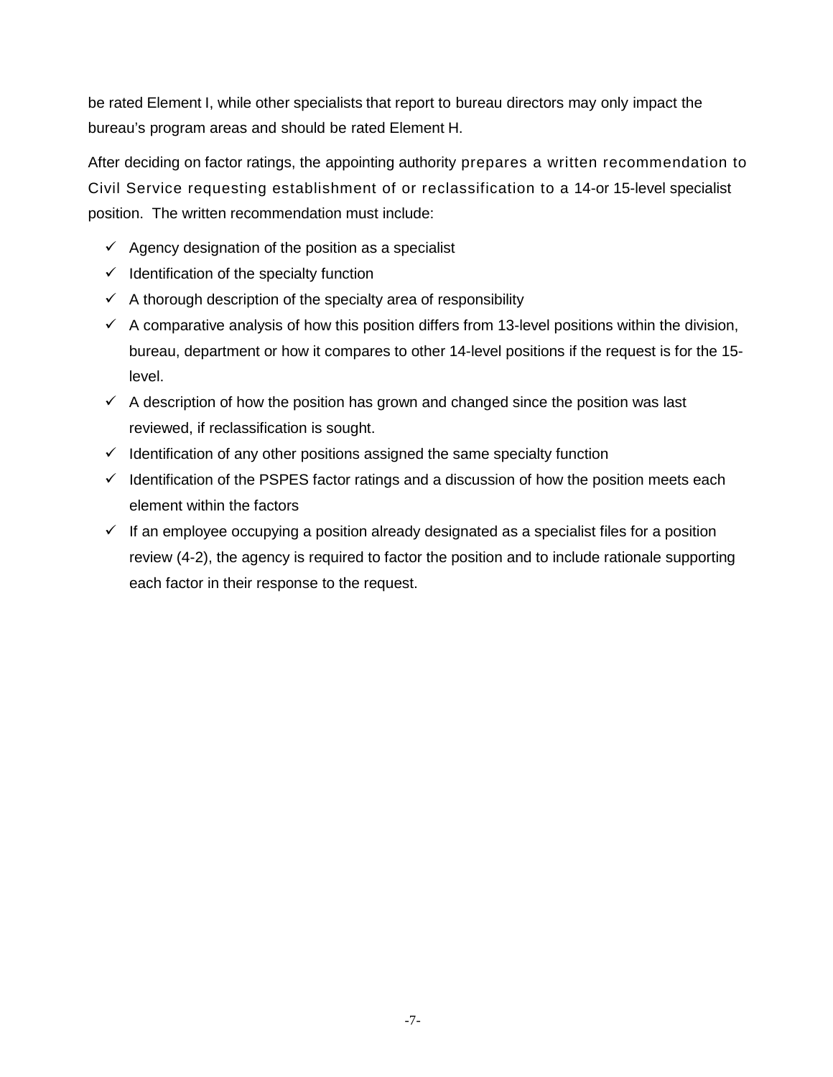be rated Element I, while other specialists that report to bureau directors may only impact the bureau's program areas and should be rated Element H.

After deciding on factor ratings, the appointing authority prepares a written recommendation to Civil Service requesting establishment of or reclassification to a 14-or 15-level specialist position. The written recommendation must include:

- $\checkmark$  Agency designation of the position as a specialist
- $\checkmark$  Identification of the specialty function
- $\checkmark$  A thorough description of the specialty area of responsibility
- $\checkmark$  A comparative analysis of how this position differs from 13-level positions within the division, bureau, department or how it compares to other 14-level positions if the request is for the 15 level.
- $\checkmark$  A description of how the position has grown and changed since the position was last reviewed, if reclassification is sought.
- $\checkmark$  Identification of any other positions assigned the same specialty function
- $\checkmark$  Identification of the PSPES factor ratings and a discussion of how the position meets each element within the factors
- $\checkmark$  If an employee occupying a position already designated as a specialist files for a position review (4-2), the agency is required to factor the position and to include rationale supporting each factor in their response to the request.